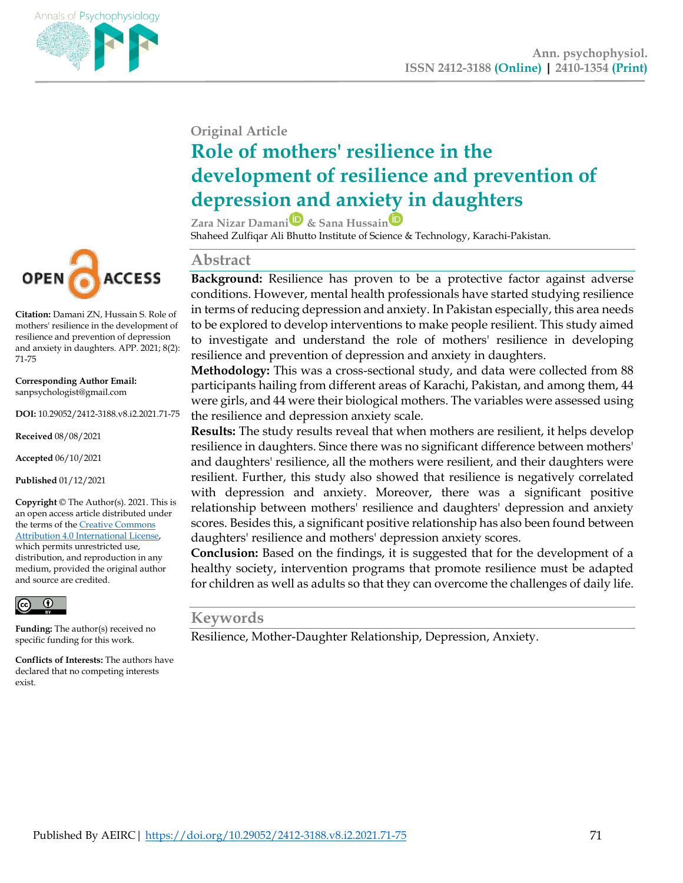

### **Original Article**

# **Role of mothers' resilience in the development of resilience and prevention of depression and anxiety in daughters**

**Zara Nizar Damani & Sana Hussai[n](https://orcid.org/0000-0002-1584-7680)** Shaheed Zulfiqar Ali Bhutto Institute of Science & Technology, Karachi-Pakistan.

#### **Abstract**

**Background:** Resilience has proven to be a protective factor against adverse conditions. However, mental health professionals have started studying resilience in terms of reducing depression and anxiety. In Pakistan especially, this area needs to be explored to develop interventions to make people resilient. This study aimed to investigate and understand the role of mothers' resilience in developing resilience and prevention of depression and anxiety in daughters.

**Methodology:** This was a cross-sectional study, and data were collected from 88 participants hailing from different areas of Karachi, Pakistan, and among them, 44 were girls, and 44 were their biological mothers. The variables were assessed using the resilience and depression anxiety scale.

**Results:** The study results reveal that when mothers are resilient, it helps develop resilience in daughters. Since there was no significant difference between mothers' and daughters' resilience, all the mothers were resilient, and their daughters were resilient. Further, this study also showed that resilience is negatively correlated with depression and anxiety. Moreover, there was a significant positive relationship between mothers' resilience and daughters' depression and anxiety scores. Besides this, a significant positive relationship has also been found between daughters' resilience and mothers' depression anxiety scores.

**Conclusion:** Based on the findings, it is suggested that for the development of a healthy society, intervention programs that promote resilience must be adapted for children as well as adults so that they can overcome the challenges of daily life.

#### **Keywords**

Resilience, Mother-Daughter Relationship, Depression, Anxiety.



**Citation:** Damani ZN, Hussain S. Role of mothers' resilience in the development of resilience and prevention of depression and anxiety in daughters. APP. 2021; 8(2): 71-75

**Corresponding Author Email:** sanpsychologist@gmail.com

**DOI:** 10.29052/2412-3188.v8.i2.2021.71-75

**Received** 08/08/2021

**Accepted** 06/10/2021

**Published** 01/12/2021

**Copyright** © The Author(s). 2021. This is an open access article distributed under the terms of th[e Creative Commons](http://creativecommons.org/licenses/by/4.0/))  [Attribution 4.0 International License,](http://creativecommons.org/licenses/by/4.0/))  which permits unrestricted use,

distribution, and reproduction in any medium, provided the original author and source are credited.



**Funding:** The author(s) received no specific funding for this work.

**Conflicts of Interests:** The authors have declared that no competing interests exist.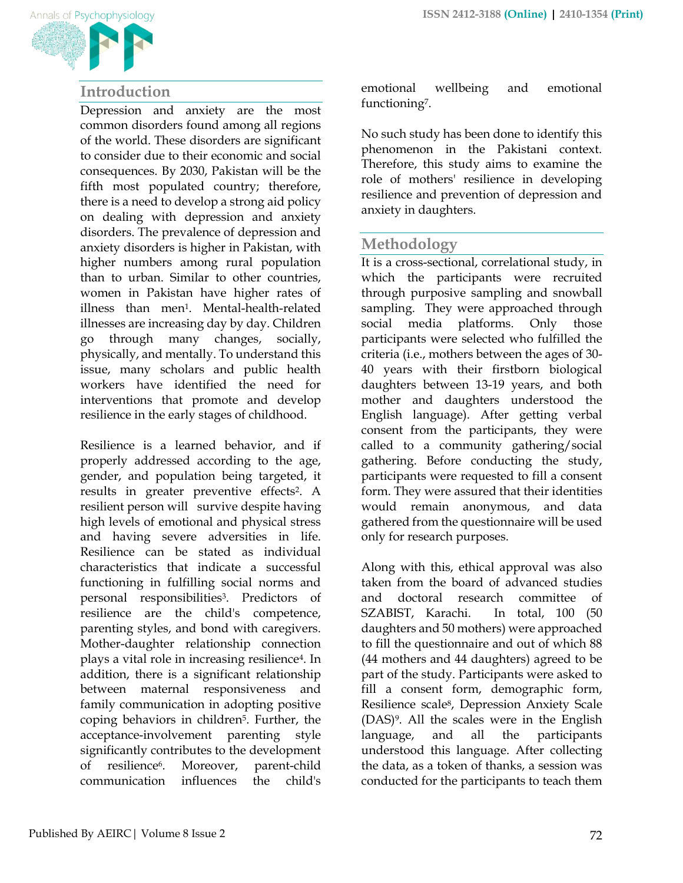

## **Introduction**

Depression and anxiety are the most common disorders found among all regions of the world. These disorders are significant to consider due to their economic and social consequences. By 2030, Pakistan will be the fifth most populated country; therefore, there is a need to develop a strong aid policy on dealing with depression and anxiety disorders. The prevalence of depression and anxiety disorders is higher in Pakistan, with higher numbers among rural population than to urban. Similar to other countries, women in Pakistan have higher rates of illness than men<sup>1</sup>. Mental-health-related illnesses are increasing day by day. Children go through many changes, socially, physically, and mentally. To understand this issue, many scholars and public health workers have identified the need for interventions that promote and develop resilience in the early stages of childhood.

Resilience is a learned behavior, and if properly addressed according to the age, gender, and population being targeted, it results in greater preventive effects2. A resilient person will survive despite having high levels of emotional and physical stress and having severe adversities in life. Resilience can be stated as individual characteristics that indicate a successful functioning in fulfilling social norms and personal responsibilities3. Predictors of resilience are the child's competence, parenting styles, and bond with caregivers. Mother-daughter relationship connection plays a vital role in increasing resilience4. In addition, there is a significant relationship between maternal responsiveness and family communication in adopting positive coping behaviors in children5. Further, the acceptance-involvement parenting style significantly contributes to the development of resilience6. Moreover, parent-child communication influences the child's

emotional wellbeing and emotional functioning<sup>7</sup>.

No such study has been done to identify this phenomenon in the Pakistani context. Therefore, this study aims to examine the role of mothers' resilience in developing resilience and prevention of depression and anxiety in daughters.

# **Methodology**

It is a cross-sectional, correlational study, in which the participants were recruited through purposive sampling and snowball sampling. They were approached through social media platforms. Only those participants were selected who fulfilled the criteria (i.e., mothers between the ages of 30- 40 years with their firstborn biological daughters between 13-19 years, and both mother and daughters understood the English language). After getting verbal consent from the participants, they were called to a community gathering/social gathering. Before conducting the study, participants were requested to fill a consent form. They were assured that their identities would remain anonymous, and data gathered from the questionnaire will be used only for research purposes.

Along with this, ethical approval was also taken from the board of advanced studies and doctoral research committee of SZABIST, Karachi. In total, 100 (50 daughters and 50 mothers) were approached to fill the questionnaire and out of which 88 (44 mothers and 44 daughters) agreed to be part of the study. Participants were asked to fill a consent form, demographic form, Resilience scale8, Depression Anxiety Scale (DAS)9. All the scales were in the English language, and all the participants understood this language. After collecting the data, as a token of thanks, a session was conducted for the participants to teach them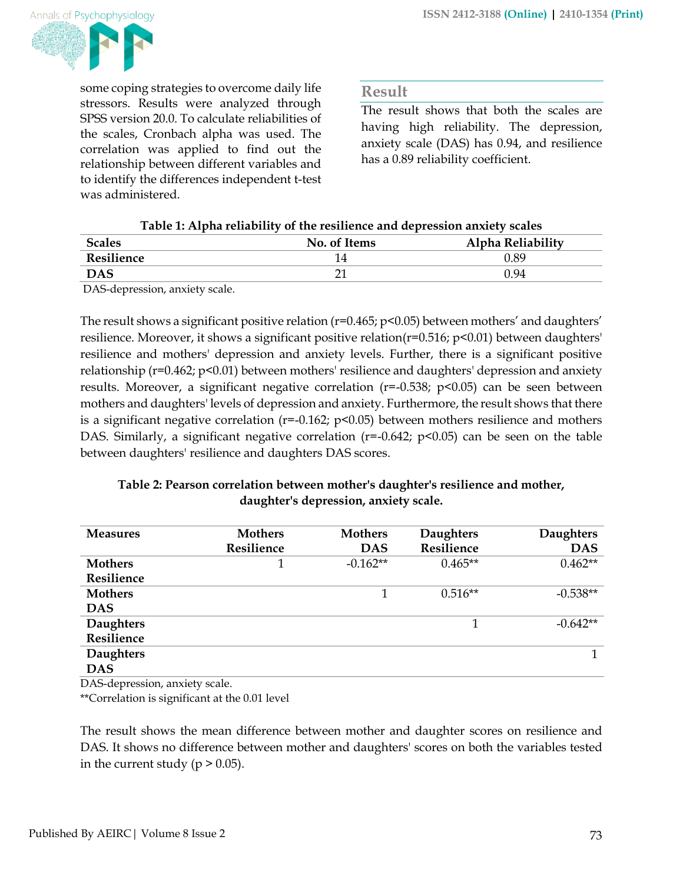

some coping strategies to overcome daily life stressors. Results were analyzed through SPSS version 20.0. To calculate reliabilities of the scales, Cronbach alpha was used. The correlation was applied to find out the relationship between different variables and to identify the differences independent t-test was administered.

#### **Result**

The result shows that both the scales are having high reliability. The depression, anxiety scale (DAS) has 0.94, and resilience has a 0.89 reliability coefficient.

#### **Table 1: Alpha reliability of the resilience and depression anxiety scales**

| <b>Scales</b> | No. of Items | Alpha Reliability |  |
|---------------|--------------|-------------------|--|
| Resilience    |              | 0.89              |  |
| <b>DAS</b>    |              | 0.94              |  |

DAS-depression, anxiety scale.

The result shows a significant positive relation  $(r=0.465; p<0.05)$  between mothers' and daughters' resilience. Moreover, it shows a significant positive relation(r=0.516; p<0.01) between daughters' resilience and mothers' depression and anxiety levels. Further, there is a significant positive relationship (r=0.462; p<0.01) between mothers' resilience and daughters' depression and anxiety results. Moreover, a significant negative correlation (r=-0.538; p<0.05) can be seen between mothers and daughters' levels of depression and anxiety. Furthermore, the result shows that there is a significant negative correlation ( $r=-0.162$ ;  $p<0.05$ ) between mothers resilience and mothers DAS. Similarly, a significant negative correlation ( $r=0.642$ ;  $p<0.05$ ) can be seen on the table between daughters' resilience and daughters DAS scores.

#### **Table 2: Pearson correlation between mother's daughter's resilience and mother, daughter's depression, anxiety scale.**

| <b>Measures</b>  | <b>Mothers</b> | <b>Mothers</b> | Daughters  | <b>Daughters</b> |
|------------------|----------------|----------------|------------|------------------|
|                  | Resilience     | <b>DAS</b>     | Resilience | <b>DAS</b>       |
| <b>Mothers</b>   |                | $-0.162**$     | $0.465**$  | $0.462**$        |
| Resilience       |                |                |            |                  |
| <b>Mothers</b>   |                |                | $0.516**$  | $-0.538**$       |
| <b>DAS</b>       |                |                |            |                  |
| <b>Daughters</b> |                |                |            | $-0.642**$       |
| Resilience       |                |                |            |                  |
| <b>Daughters</b> |                |                |            |                  |
| <b>DAS</b>       |                |                |            |                  |

DAS-depression, anxiety scale.

\*\*Correlation is significant at the 0.01 level

The result shows the mean difference between mother and daughter scores on resilience and DAS. It shows no difference between mother and daughters' scores on both the variables tested in the current study ( $p > 0.05$ ).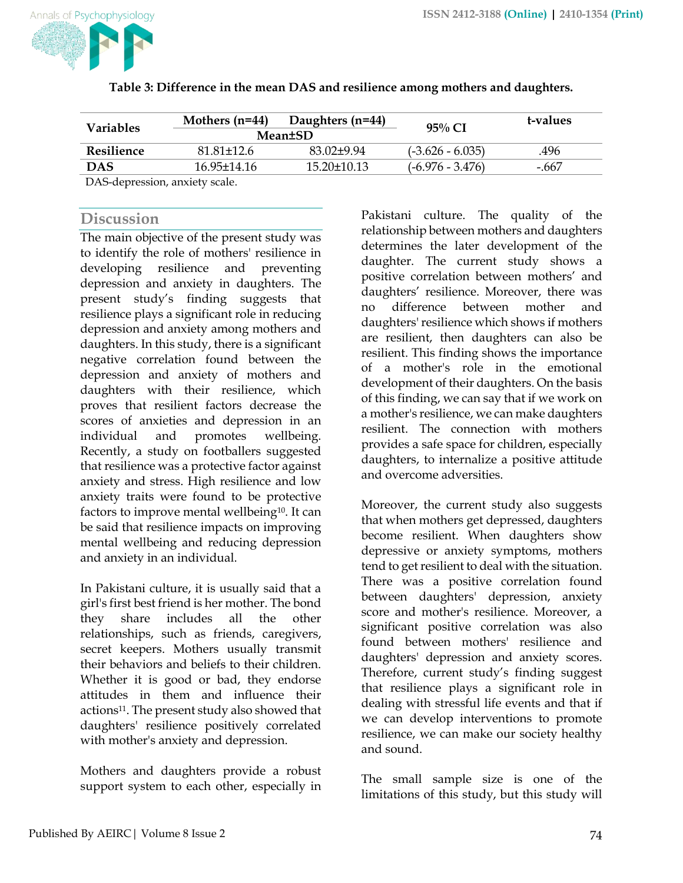

| Variables                                                                                                                                                                                                                                        | Mothers $(n=44)$<br>Daughters $(n=44)$<br><b>Mean±SD</b> |                | $95\%$ CI          | t-values |
|--------------------------------------------------------------------------------------------------------------------------------------------------------------------------------------------------------------------------------------------------|----------------------------------------------------------|----------------|--------------------|----------|
| Resilience                                                                                                                                                                                                                                       | $81.81 + 12.6$                                           | $83.02 + 9.94$ | $(-3.626 - 6.035)$ | .496     |
| <b>DAS</b>                                                                                                                                                                                                                                       | 16.95+14.16                                              | 15.20+10.13    | $(-6.976 - 3.476)$ | -.667    |
| $\mathbf{D} \mathbf{A} \mathbf{C}$ , $\mathbf{I}$ is a set of the set of the set of the set of the set of the set of the set of the set of the set of the set of the set of the set of the set of the set of the set of the set of the set of th |                                                          |                |                    |          |

| Table 3: Difference in the mean DAS and resilience among mothers and daughters. |  |  |  |
|---------------------------------------------------------------------------------|--|--|--|

DAS-depression, anxiety scale.

#### **Discussion**

The main objective of the present study was to identify the role of mothers' resilience in developing resilience and preventing depression and anxiety in daughters. The present study's finding suggests that resilience plays a significant role in reducing depression and anxiety among mothers and daughters. In this study, there is a significant negative correlation found between the depression and anxiety of mothers and daughters with their resilience, which proves that resilient factors decrease the scores of anxieties and depression in an individual and promotes wellbeing. Recently, a study on footballers suggested that resilience was a protective factor against anxiety and stress. High resilience and low anxiety traits were found to be protective factors to improve mental wellbeing<sup>10</sup>. It can be said that resilience impacts on improving mental wellbeing and reducing depression and anxiety in an individual.

In Pakistani culture, it is usually said that a girl's first best friend is her mother. The bond they share includes all the other relationships, such as friends, caregivers, secret keepers. Mothers usually transmit their behaviors and beliefs to their children. Whether it is good or bad, they endorse attitudes in them and influence their actions11. The present study also showed that daughters' resilience positively correlated with mother's anxiety and depression.

Mothers and daughters provide a robust support system to each other, especially in Pakistani culture. The quality of the relationship between mothers and daughters determines the later development of the daughter. The current study shows a positive correlation between mothers' and daughters' resilience. Moreover, there was no difference between mother and daughters' resilience which shows if mothers are resilient, then daughters can also be resilient. This finding shows the importance of a mother's role in the emotional development of their daughters. On the basis of this finding, we can say that if we work on a mother's resilience, we can make daughters resilient. The connection with mothers provides a safe space for children, especially daughters, to internalize a positive attitude and overcome adversities.

Moreover, the current study also suggests that when mothers get depressed, daughters become resilient. When daughters show depressive or anxiety symptoms, mothers tend to get resilient to deal with the situation. There was a positive correlation found between daughters' depression, anxiety score and mother's resilience. Moreover, a significant positive correlation was also found between mothers' resilience and daughters' depression and anxiety scores. Therefore, current study's finding suggest that resilience plays a significant role in dealing with stressful life events and that if we can develop interventions to promote resilience, we can make our society healthy and sound.

The small sample size is one of the limitations of this study, but this study will